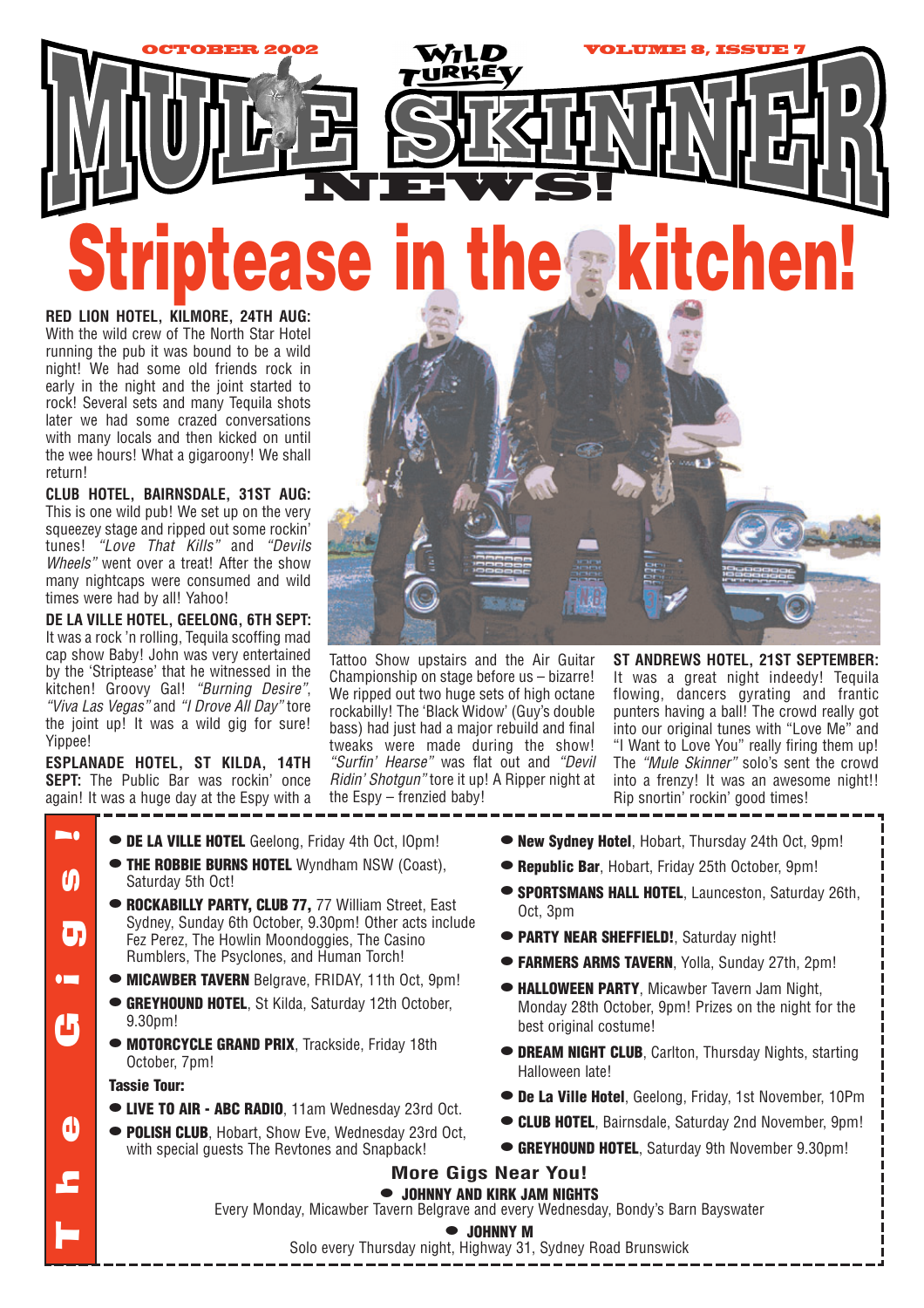

Tattoo Show upstairs and the Air Guitar Championship on stage before us – bizarre! We ripped out two huge sets of high octane rockabilly! The 'Black Widow' (Guy's double bass) had just had a major rebuild and final tweaks were made during the show! *"Surfin' Hearse"* was flat out and *"Devil Ridin' Shotgun"* tore it up! A Ripper night at

the Espy – frenzied baby!

**RED LION HOTEL, KILMORE, 24TH AUG:** With the wild crew of The North Star Hotel running the pub it was bound to be a wild night! We had some old friends rock in early in the night and the joint started to rock! Several sets and many Tequila shots later we had some crazed conversations with many locals and then kicked on until the wee hours! What a gigaroony! We shall return!

**CLUB HOTEL, BAIRNSDALE, 31ST AUG:** This is one wild pub! We set up on the very squeezey stage and ripped out some rockin' tunes! *"Love That Kills"* and *"Devils Wheels"* went over a treat! After the show many nightcaps were consumed and wild times were had by all! Yahoo!

**DE LA VILLE HOTEL, GEELONG, 6TH SEPT:** It was a rock 'n rolling, Tequila scoffing mad cap show Baby! John was very entertained by the 'Striptease' that he witnessed in the kitchen! Groovy Gal! *"Burning Desire"*, *"Viva Las Vegas"* and *"I Drove All Day"* tore the joint up! It was a wild gig for sure! Yippee!

**ESPLANADE HOTEL, ST KILDA, 14TH SEPT:** The Public Bar was rockin' once again! It was a huge day at the Espy with a

- **• DE LA VILLE HOTEL** Geelong, Friday 4th Oct, lOpm!
- **• THE ROBBIE BURNS HOTEL** Wyndham NSW (Coast), Saturday 5th Oct!
- **• ROCKABILLY PARTY, CLUB 77,** 77 William Street, East Sydney, Sunday 6th October, 9.30pm! Other acts include Fez Perez, The Howlin Moondoggies, The Casino Rumblers, The Psyclones, and Human Torch!
- **• MICAWBER TAVERN** Belgrave, FRIDAY, 11th Oct, 9pm!
- **• GREYHOUND HOTEL**, St Kilda, Saturday 12th October, 9.30pm!
- **• MOTORCYCLE GRAND PRIX**, Trackside, Friday 18th October, 7pm!

# **Tassie Tour:**

The Gigs!

ω

U

 $\blacksquare$ 

 $\boldsymbol{\omega}$ 

b,

 $\bullet$ 

- **• LIVE TO AIR ABC RADIO**, 11am Wednesday 23rd Oct.
- **• POLISH CLUB**, Hobart, Show Eve, Wednesday 23rd Oct, with special guests The Revtones and Snapback!
- **ST ANDREWS HOTEL, 21ST SEPTEMBER:** It was a great night indeedy! Tequila flowing, dancers gyrating and frantic punters having a ball! The crowd really got into our original tunes with "Love Me" and "I Want to Love You" really firing them up! The *"Mule Skinner"* solo's sent the crowd into a frenzy! It was an awesome night!! Rip snortin' rockin' good times!
- **• New Sydney Hotel**, Hobart, Thursday 24th Oct, 9pm!
- **• Republic Bar**, Hobart, Friday 25th October, 9pm!
- **• SPORTSMANS HALL HOTEL**, Launceston, Saturday 26th, Oct, 3pm
- **• PARTY NEAR SHEFFIELD!**, Saturday night!
- **• FARMERS ARMS TAVERN**, Yolla, Sunday 27th, 2pm!
- **• HALLOWEEN PARTY**, Micawber Tavern Jam Night, Monday 28th October, 9pm! Prizes on the night for the best original costume!
- **• DREAM NIGHT CLUB**, Carlton, Thursday Nights, starting Halloween late!
- **• De La Ville Hotel**, Geelong, Friday, 1st November, 10Pm
- **• CLUB HOTEL**, Bairnsdale, Saturday 2nd November, 9pm!
- **• GREYHOUND HOTEL**, Saturday 9th November 9.30pm!

### **More Gigs Near You!**

**• JOHNNY AND KIRK JAM NIGHTS** Every Monday, Micawber Tavern Belgrave and every Wednesday, Bondy's Barn Bayswater

#### **• JOHNNY M**

Solo every Thursday night, Highway 31, Sydney Road Brunswick